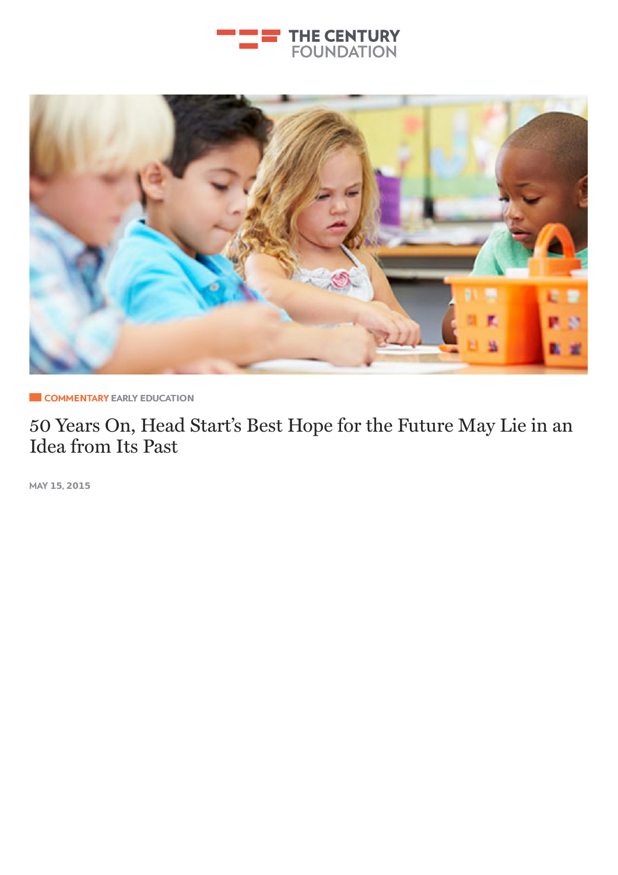



**E** COMMENTARY EARLY E[DUCAT](http://tcf.stage.a17.io/topics/education/early-education/)ION

50 Years On, [Head](http://tcf.stage.a17.io/topics/rights-justice/democracy/) Start's Best Hope for the Future May Lie in an Idea [from](http://tcf.stage.a17.io/topics/rights-justice/criminal-justice/) Its Past

MAY **15**, **2015**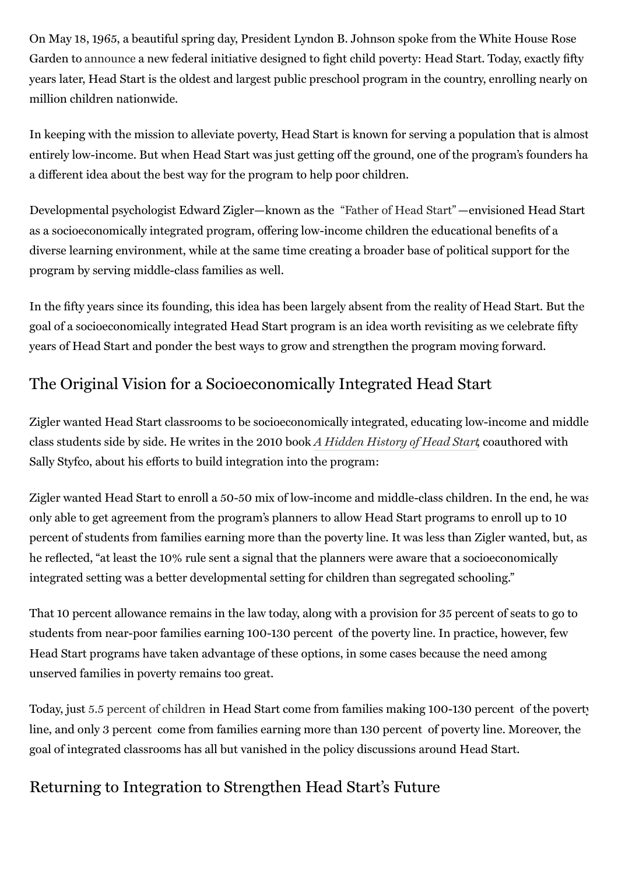On May 18, 1965, a beautiful spring day, President Lyndon B. Johnson spoke from the White House Rose Garden to [announce](http://www.presidency.ucsb.edu/ws/?pid=26973) a new federal initiative designed to fight child poverty: Head Start. Today, exactly fifty years later, Head Start is the oldest and largest public preschool program in the country, enrolling nearly one million children nationwide.

In keeping with the mission to alleviate poverty, Head Start is known for serving a population that is almost entirely low-income. But when Head Start was just getting off the ground, one of the program's founders had a different idea about the best way for the program to help poor children.

Developmental psychologist Edward Zigler—known as the ["Father](http://medicine.yale.edu/news/article.aspx?id=9000) of Head Start"—envisioned Head Start as a socioeconomically integrated program, offering low-income children the educational benefits of a diverse learning environment, while at the same time creating a broader base of political support for the program by serving middle-class families as well.

In the fifty years since its founding, this idea has been largely absent from the reality of Head Start. But the goal of a socioeconomically integrated Head Start program is an idea worth revisiting as we celebrate fifty years of Head Start and ponder the best ways to grow and strengthen the program moving forward.

# The Original Vision for a Socioeconomically Integrated Head Start

Zigler wanted Head Start classrooms to be socioeconomically integrated, educating low-income and middleclass students side by side. He writes in the 2010 book A Hidden [History](http://www.amazon.com/Hidden-History-Start-Development-Series/dp/0195393767) of Head Start, coauthored with Sally Styfco, about his efforts to build integration into the program:

Zigler wanted Head Start to enroll a 50-50 mix of low-income and middle-class children. In the end, he was only able to get agreement from the program's planners to allow Head Start programs to enroll up to 10 percent of students from families earning more than the poverty line. It was less than Zigler wanted, but, as he reflected, "at least the 10% rule sent a signal that the planners were aware that a socioeconomically integrated setting was a better developmental setting for children than segregated schooling."

That 10 percent allowance remains in the law today, along with a provision for 35 percent of seats to go to students from near-poor families earning 100-130 percent of the poverty line. In practice, however, few Head Start programs have taken advantage of these options, in some cases because the need among unserved families in poverty remains too great.

Today, just 5.5 percent of [children](http://www.childtrends.org/wp-content/uploads/2014/02/97_Head_Start.pdf) in Head Start come from families making 100-130 percent of the poverty line, and only 3 percent come from families earning more than 130 percent of poverty line. Moreover, the goal of integrated classrooms has all but vanished in the policy discussions around Head Start.

## Returning to Integration to Strengthen Head Start's Future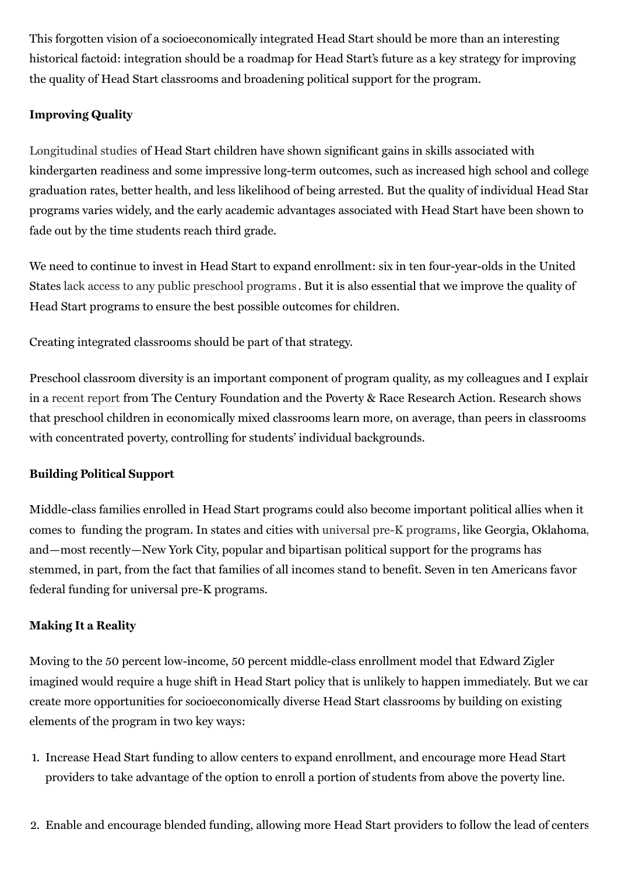This forgotten vision of a socioeconomically integrated Head Start should be more than an interesting historical factoid: integration should be a roadmap for Head Start's future as a key strategy for improving the quality of Head Start classrooms and broadening political support for the program.

### Improving Quality

[Longitudinal](http://blogs.reuters.com/great-debate/2012/12/27/does-head-start-work/) studies of Head Start children have shown significant gains in skills associated with kindergarten readiness and some impressive long-term outcomes, such as increased high school and college graduation rates, better health, and less likelihood of being arrested. But the quality of individual Head Start programs varies widely, and the early academic advantages associated with Head Start have been shown to fade out by the time students reach third grade.

We need to continue to invest in Head Start to expand enrollment: six in ten four-year-olds in the United States lack access to any public [preschool](http://www2.ed.gov/documents/early-learning/matter-equity-preschool-america.pdf) programs . But it is also essential that we improve the quality of Head Start programs to ensure the best possible outcomes for children.

Creating integrated classrooms should be part of that strategy.

Preschool classroom diversity is an important component of program quality, as my colleagues and I explain in a [recent](http://tcf.org/bookstore/detail/a-better-start) report from The Century Foundation and the Poverty & Race Research Action. Research shows that preschool children in economically mixed classrooms learn more, on average, than peers in classrooms with concentrated poverty, controlling for students' individual backgrounds.

#### Building Political Support

Middle-class families enrolled in Head Start programs could also become important political allies when it comes to funding the program. In states and cities with universal pre-K [programs](http://tcf.org/bookstore/detail/lessons-from-new-york-citys-universal-pre-k-expansion), like Georgia, Oklahoma, and—most recently—New York City, popular and bipartisan political support for the programs has stemmed, in part, from the fact that families of all incomes stand to benefit. Seven in ten Americans favor federal funding for universal pre-K programs.

### Making It a Reality

Moving to the 50 percent low-income, 50 percent middle-class enrollment model that Edward Zigler imagined would require a huge shift in Head Start policy that is unlikely to happen immediately. But we can create more opportunities for socioeconomically diverse Head Start classrooms by building on existing elements of the program in two key ways:

- 1. Increase Head Start funding to allow centers to expand enrollment, and encourage more Head Start providers to take advantage of the option to enroll a portion of students from above the poverty line.
- 2. Enable and encourage blended funding, allowing more Head Start providers to follow the lead of centers